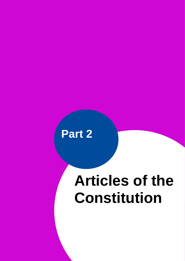

 $A$  and additional copy if  $A$  and additional copy if  $\mathcal{A}$  and additional copy if  $\mathcal{A}$ 

# **Articles of the Constitution**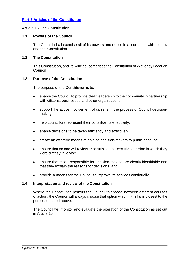# <span id="page-1-0"></span>**[Part 2 Articles of the Constitution](#page-1-0)**

## **Article 1 - The Constitution**

#### **1.1 Powers of the Council**

The Council shall exercise all of its powers and duties in accordance with the law and this Constitution.

## **1.2 The Constitution**

This Constitution, and its Articles, comprises the Constitution of Waverley Borough Council.

#### **1.3 Purpose of the Constitution**

The purpose of the Constitution is to:

- enable the Council to provide clear leadership to the community in partnership with citizens, businesses and other organisations;
- support the active involvement of citizens in the process of Council decisionmaking;
- help councillors represent their constituents effectively;
- enable decisions to be taken efficiently and effectively;
- create an effective means of holding decision-makers to public account;
- ensure that no one will review or scrutinise an Executive decision in which they were directly involved;
- ensure that those responsible for decision-making are clearly identifiable and that they explain the reasons for decisions; and
- provide a means for the Council to improve its services continually.

#### **1.4 Interpretation and review of the Constitution**

Where the Constitution permits the Council to choose between different courses of action, the Council will always choose that option which it thinks is closest to the purposes stated above.

The Council will monitor and evaluate the operation of the Constitution as set out in Article 15.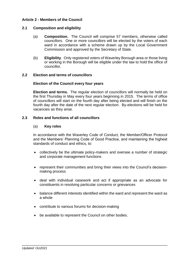## **Article 2 - Members of the Council**

## **2.1 Composition and eligibility**

- (a) **Composition.** The Council will comprise 57 members, otherwise called councillors. One or more councillors will be elected by the voters of each ward in accordance with a scheme drawn up by the Local Government Commission and approved by the Secretary of State.
- (b) **Eligibility**. Only registered voters of Waverley Borough area or those living or working in the Borough will be eligible under the law to hold the office of councillor.

#### **2.2 Election and terms of councillors**

#### **Election of the Council every four years**

**Election and terms.** The regular election of councillors will normally be held on the first Thursday in May every four years beginning in 2015. The terms of office of councillors will start on the fourth day after being elected and will finish on the fourth day after the date of the next regular election. By-elections will be held for vacancies as they arise.

#### **2.3 Roles and functions of all councillors**

#### (a) **Key roles**

In accordance with the Waverley Code of Conduct, the Member/Officer Protocol and the Members' Planning Code of Good Practice, and maintaining the highest standards of conduct and ethics, to:

- collectively be the ultimate policy-makers and oversee a number of strategic and corporate management functions
- represent their communities and bring their views into the Council's decisionmaking process
- deal with individual casework and act if appropriate as an advocate for constituents in resolving particular concerns or grievances
- balance different interests identified within the ward and represent the ward as a whole
- contribute to various forums for decision-making
- be available to represent the Council on other bodies.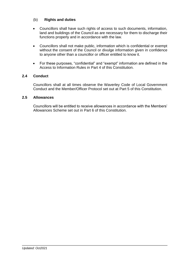# (b) **Rights and duties**

- Councillors shall have such rights of access to such documents, information, land and buildings of the Council as are necessary for them to discharge their functions properly and in accordance with the law.
- Councillors shall not make public, information which is confidential or exempt without the consent of the Council or divulge information given in confidence to anyone other than a councillor or officer entitled to know it.
- For these purposes, "confidential" and "exempt" information are defined in the Access to Information Rules in Part 4 of this Constitution.

## **2.4 Conduct**

Councillors shall at all times observe the Waverley Code of Local Government Conduct and the Member/Officer Protocol set out at Part 5 of this Constitution.

## **2.5 Allowances**

Councillors will be entitled to receive allowances in accordance with the Members' Allowances Scheme set out in Part 6 of this Constitution.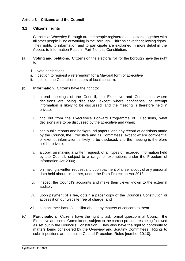# **Article 3 – Citizens and the Council**

## **3.1 Citizens' rights**

Citizens of Waverley Borough are the people registered as electors, together with all other people living or working in the Borough. Citizens have the following rights. Their rights to information and to participate are explained in more detail in the Access to Information Rules in Part 4 of this Constitution.

- (a) **Voting and petitions.** Citizens on the electoral roll for the borough have the right to:
	- i. vote at elections;
	- ii. petition to request a referendum for a Mayoral form of Executive
	- iii. petition the Council on matters of local concern.
- (b) **Information.** Citizens have the right to:
	- i. attend meetings of the Council, the Executive and Committees where decisions are being discussed, except where confidential or exempt information is likely to be discussed, and the meeting is therefore held in private;
	- ii. find out from the Executive's Forward Programme of Decisions, what decisions are to be discussed by the Executive and when;
	- iii. see public reports and background papers, and any record of decisions made by the Council, the Executive and its Committees, except where confidential or exempt information is likely to be disclosed, and the meeting is therefore held in private;
	- iv. a copy, on making a written request, of all types of recorded information held by the Council, subject to a range of exemptions under the Freedom of Information Act 2000;
	- v. on making a written request and upon payment of a fee, a copy of any personal data held about him or her, under the Data Protection Act 2018;
	- vi. inspect the Council's accounts and make their views known to the external auditor;
	- vii. upon payment of a fee, obtain a paper copy of the Council's Constitution or access it on our website free of charge; and
	- viii. contact their local Councillor about any matters of concern to them.
- (c) **Participation.** Citizens have the right to ask formal questions at Council, the Executive and some Committees, subject to the correct procedures being followed as set out in the Council's Constitution. They also have the right to contribute to matters being considered by the Overview and Scrutiny Committees. Rights to submit petitions are set out in Council Procedure Rules [number 10.10].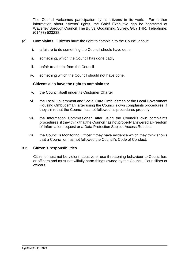The Council welcomes participation by its citizens in its work. For further information about citizens' rights, the Chief Executive can be contacted at Waverley Borough Council, The Burys, Godalming, Surrey, GU7 1HR. Telephone: (01483) 523238.

- (d) **Complaints.** Citizens have the right to complain to the Council about:
	- i. a failure to do something the Council should have done
	- ii. something, which the Council has done badly
	- iii. unfair treatment from the Council
	- iv. something which the Council should not have done.

#### **Citizens also have the right to complain to:**

- v. the Council itself under its Customer Charter
- vi. the Local Government and Social Care Ombudsman or the Local Government Housing Ombudsman, after using the Council's own complaints procedures, if they think that the Council has not followed its procedures properly
- vii. the Information Commissioner, after using the Council's own complaints procedures, if they think that the Council has not properly answered a Freedom of Information request or a Data Protection Subject Access Request
- viii. the Council's Monitoring Officer if they have evidence which they think shows that a Councillor has not followed the Council's Code of Conduct.

#### **3.2 Citizen's responsibilities**

<span id="page-5-0"></span>Citizens must not be violent, abusive or use threatening behaviour to Councillors or officers and must not wilfully harm things owned by the Council, Councillors or officers.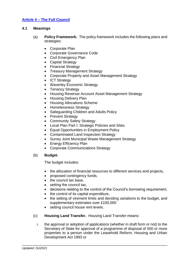# **Article 4 – [The Full Council](#page-5-0)**

## **4.1 Meanings**

- (a) **Policy Framework.** The policy framework includes the following plans and strategies:
	- Corporate Plan
	- Corporate Governance Code
	- Civil Emergency Plan
	- Capital Strategy
	- Financial Strategy
	- Treasury Management Strategy
	- Corporate Property and Asset Management Strategy
	- ICT Strategy
	- Waverley Economic Strategy
	- Tenancy Strategy
	- Housing Revenue Account Asset Management Strategy
	- Housing Delivery Plan
	- Housing Allocations Scheme
	- Homelessness Strategy
	- Safeguarding Children and Adults Policy
	- Prevent Strategy
	- Community Safety Strategy
	- Local Plan Part I: Strategic Policies and Sites
	- Equal Opportunities in Employment Policy
	- Contaminated Land Inspection Strategy
	- Surrey Joint Municipal Waste Management Strategy
	- Energy Efficiency Plan
	- Corporate Communications Strategy

#### (b) **Budget.**

The budget includes:

- the allocation of financial resources to different services and projects,
- proposed contingency funds,
- the council tax base,
- setting the council tax,
- decisions relating to the control of the Council's borrowing requirement,
- the control of its capital expenditure,
- the setting of virement limits and deciding variations to the budget, and supplementary estimates over £100,000
- setting council house rent levels.
- (c) **Housing Land Transfer.** Housing Land Transfer means:
	- i. the approval or adoption of applications (whether in draft form or not) to the Secretary of State for approval of a programme of disposal of 500 or more properties to a person under the Leasehold Reform, Housing and Urban Development Act 1993 or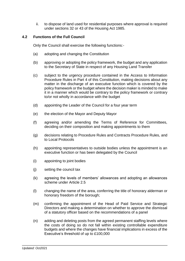ii. to dispose of land used for residential purposes where approval is required under sections 32 or 43 of the Housing Act 1985.

## **4.2 Functions of the Full Council**

Only the Council shall exercise the following functions:-

- (a) adopting and changing the Constitution
- (b) approving or adopting the policy framework, the budget and any application to the Secretary of State in respect of any Housing Land Transfer
- (c) subject to the urgency procedure contained in the Access to Information Procedure Rules in Part 4 of this Constitution, making decisions about any matter in the discharge of an executive function which is covered by the policy framework or the budget where the decision maker is minded to make it in a manner which would be contrary to the policy framework or contrary to/or not wholly in accordance with the budget
- (d) appointing the Leader of the Council for a four year term
- (e) the election of the Mayor and Deputy Mayor
- (f) agreeing and/or amending the Terms of Reference for Committees, deciding on their composition and making appointments to them
- (g) decisions relating to Procedure Rules and Contracts Procedure Rules, and to Local Protocols
- (h) appointing representatives to outside bodies unless the appointment is an executive function or has been delegated by the Council
- (i) appointing to joint bodies
- (j) setting the council tax
- (k) agreeing the levels of members' allowances and adopting an allowances scheme under Article 2.5
- (l) changing the name of the area, conferring the title of honorary alderman or honorary freedom of the borough;
- (m) confirming the appointment of the Head of Paid Service and Strategic Directors and making a determination on whether to approve the dismissal of a statutory officer based on the recommendations of a panel
- (n) adding and deleting posts from the agreed permanent staffing levels where the costs of doing so do not fall within existing controllable expenditure budgets and where the changes have financial implications in excess of the Executive's threshold of up to £100,000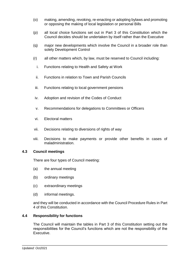- (o) making, amending, revoking, re-enacting or adopting bylaws and promoting or opposing the making of local legislation or personal Bills
- (p) all local choice functions set out in Part 3 of this Constitution which the Council decides should be undertaken by itself rather than the Executive
- (q) major new developments which involve the Council in a broader role than solely Development Control
- (r) all other matters which, by law, must be reserved to Council including:
	- i. Functions relating to Health and Safety at Work
	- ii. Functions in relation to Town and Parish Councils
- iii. Functions relating to local government pensions
- iv. Adoption and revision of the Codes of Conduct
- v. Recommendations for delegations to Committees or Officers
- vi. Electoral matters
- vii. Decisions relating to diversions of rights of way
- viii. Decisions to make payments or provide other benefits in cases of maladministration.

#### **4.3 Council meetings**

There are four types of Council meeting:

- (a) the annual meeting
- (b) ordinary meetings
- (c) extraordinary meetings
- (d) informal meetings.

and they will be conducted in accordance with the Council Procedure Rules in Part 4 of this Constitution.

#### **4.4 Responsibility for functions**

<span id="page-8-0"></span>The Council will maintain the tables in Part 3 of this Constitution setting out the responsibilities for the Council's functions which are not the responsibility of the Executive.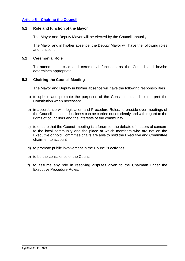# **Article 5 – [Chairing the Council](#page-8-0)**

#### **5.1 Role and function of the Mayor**

The Mayor and Deputy Mayor will be elected by the Council annually.

The Mayor and in his/her absence, the Deputy Mayor will have the following roles and functions:

#### **5.2 Ceremonial Role**

To attend such civic and ceremonial functions as the Council and he/she determines appropriate.

#### **5.3 Chairing the Council Meeting**

The Mayor and Deputy in his/her absence will have the following responsibilities

- a) to uphold and promote the purposes of the Constitution, and to interpret the Constitution when necessary
- b) in accordance with legislation and Procedure Rules, to preside over meetings of the Council so that its business can be carried out efficiently and with regard to the rights of councillors and the interests of the community
- c) to ensure that the Council meeting is a forum for the debate of matters of concern to the local community and the place at which members who are not on the Executive or hold Committee chairs are able to hold the Executive and Committee chairmen to account
- d) to promote public involvement in the Council's activities
- e) to be the conscience of the Council
- f) to assume any role in resolving disputes given to the Chairman under the Executive Procedure Rules.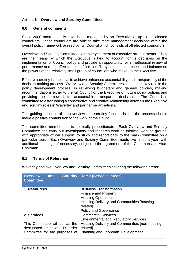# **Article 6 – Overview and Scrutiny Committees**

## **6.0 General comments**

Since 2000 most councils have been managed by an Executive of up to ten elected councillors. These councillors are able to take most management decisions within the overall policy framework agreed by full Council which consists of all elected councillors.

Overview and Scrutiny Committees are a key element of executive arrangements. They are the means by which the Executive is held to account for its decisions on the implementation of Council policy and provide an opportunity for a methodical review of performance and the effectiveness of policies. They also act as a check and balance on the powers of the relatively small group of councillors who make up the Executive.

Effective scrutiny is essential to achieve enhanced accountability and transparency of the decision-making process. Overview and Scrutiny Committees also have a key role in the policy development process, in reviewing budgetary and general policies, making recommendations either to the full Council or the Executive on future policy options and providing the framework for accountable, transparent decisions. The Council is committed to establishing a constructive and creative relationship between the Executive and scrutiny roles in Waverley and partner organisations.

The guiding principle of the overview and scrutiny function is that the process should make a positive contribution to the work of the Council.

The committee membership is politically proportionate. Each Overview and Scrutiny Committee can carry out investigatory and research work as informal working groups, with appropriate officer support, to study and report back to the main Committee on a particular topic. Each Overview and Scrutiny Committee meets five times a year, with additional meetings, if necessary, subject to the agreement of the Chairman and Vice-Chairman.

## **6.1 Terms of Reference**

Waverley has two Overview and Scrutiny Committees covering the following areas:

| <b>Overview</b><br>and<br><b>Committee</b>                                                                      | <b>Scrutiny Remit (Services areas)</b>                                                                                                                                               |
|-----------------------------------------------------------------------------------------------------------------|--------------------------------------------------------------------------------------------------------------------------------------------------------------------------------------|
| 1. Resources                                                                                                    | <b>Business Transformation</b><br><b>Finance and Property</b><br><b>Housing Operations</b><br>Housing Delivery and Communities [housing]<br>related]<br><b>Policy and Governance</b> |
| 2. Services<br>This Committee will act as the<br>designated Crime and Disorder<br>Committee for the purposes of | <b>Commercial Services</b><br><b>Environmental and Regulatory Services</b><br>Housing Delivery and Communities [non-housing<br>related]<br><b>Planning and Economic Development</b>  |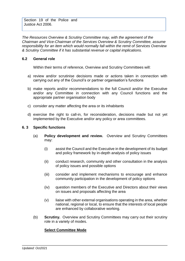Section 19 of the Police and Justice Act 2006.

*The Resources Overview & Scrutiny Committee may, with the agreement of the Chairman and Vice-Chairman of the Services Overview & Scrutiny Committee, assume responsibility for an item which would normally fall within the remit of Services Overview & Scrutiny Committee if it has substantial revenue or capital implications.*

## **6.2 General role**

Within their terms of reference, Overview and Scrutiny Committees will:

- a) review and/or scrutinise decisions made or actions taken in connection with carrying out any of the Council's or partner organisation's functions
- b) make reports and/or recommendations to the full Council and/or the Executive and/or any Committee in connection with any Council functions and the appropriate partner organisation body
- c) consider any matter affecting the area or its inhabitants
- d) exercise the right to call-in, for reconsideration, decisions made but not yet implemented by the Executive and/or any policy or area committees.

## **6. 3 Specific functions**

- (a) **Policy development and review.** Overview and Scrutiny Committees may:
	- (i) assist the Council and the Executive in the development of its budget and policy framework by in-depth analysis of policy issues
	- (ii) conduct research, community and other consultation in the analysis of policy issues and possible options
	- (iii) consider and implement mechanisms to encourage and enhance community participation in the development of policy options
	- (iv) question members of the Executive and Directors about their views on issues and proposals affecting the area
	- (v) liaise with other external organisations operating in the area, whether national, regional or local, to ensure that the interests of local people are enhanced by collaborative working.
- (b) **Scrutiny.** Overview and Scrutiny Committees may carry out their scrutiny role in a variety of modes.

## **Select Committee Mode**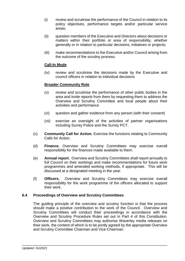- (i) review and scrutinise the performance of the Council in relation to its policy objectives, performance targets and/or particular service areas;
- (ii) question members of the Executive and Directors about decisions or matters within their portfolio or area of responsibility, whether generally or in relation to particular decisions, initiatives or projects;
- (iii) make recommendations to the Executive and/or Council arising from the outcome of the scrutiny process;

## **Call-In Mode**

(iv) review and scrutinise the decisions made by the Executive and council officers in relation to individual decisions

## **Broader Community Role**

- (v) review and scrutinise the performance of other public bodies in the area and invite reports from them by requesting them to address the Overview and Scrutiny Committee and local people about their activities and performance
- (vi) question and gather evidence from any person (with their consent)
- (vii) exercise an oversight of the activities of partner organisations including Surrey Police and the Surrey PCT.
- (c) **Community Call for Action.** Exercise the functions relating to Community Calls for Action.
- (d) **Finance.** Overview and Scrutiny Committees may exercise overall responsibility for the finances made available to them.
- (e) **Annual report.** Overview and Scrutiny Committees shall report annually to full Council on their workings and make recommendations for future work programmes and amended working methods, if appropriate. This will be discussed at a designated meeting in the year.
- (f) **Officers.** Overview and Scrutiny Committees may exercise overall responsibility for the work programme of the officers allocated to support their work.

#### **6.4 Proceedings of Overview and Scrutiny Committees**

The guiding principle of the overview and scrutiny function is that the process should make a positive contribution to the work of the Council. Overview and Scrutiny Committees will conduct their proceedings in accordance with the Overview and Scrutiny Procedure Rules set out in Part 4 of this Constitution. Overview and Scrutiny Committees may authorise Waverley media releases on their work, the content of which is to be jointly agreed by the appropriate Overview and Scrutiny Committee Chairman and Vice-Chairman.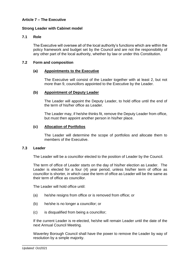# **Article 7 – The Executive**

## **Strong Leader with Cabinet model**

#### **7.1 Role**

The Executive will oversee all of the local authority's functions which are within the policy framework and budget set by the Council and are not the responsibility of any other part of the local authority, whether by law or under this Constitution.

#### **7.2 Form and composition**

#### **(a) Appointments to the Executive**

The Executive will consist of the Leader together with at least 2, but not more than 9, councillors appointed to the Executive by the Leader.

#### **(b) Appointment of Deputy Leader**

The Leader will appoint the Deputy Leader, to hold office until the end of the term of his/her office as Leader.

The Leader may, if he/she thinks fit, remove the Deputy Leader from office, but must then appoint another person in his/her place.

#### **(c) Allocation of Portfolios**

The Leader will determine the scope of portfolios and allocate them to members of the Executive.

#### **7.3 Leader**

The Leader will be a councillor elected to the position of Leader by the Council.

The term of office of Leader starts on the day of his/her election as Leader. The Leader is elected for a four (4) year period, unless his/her term of office as councillor is shorter, in which case the term of office as Leader will be the same as their term of office as councillor.

The Leader will hold office until:

- (a) he/she resigns from office or is removed from office; or
- (b) he/she is no longer a councillor; or
- (c) is disqualified from being a councillor;

If the current Leader is re-elected, he/she will remain Leader until the date of the next Annual Council Meeting.

Waverley Borough Council shall have the power to remove the Leader by way of resolution by a simple majority.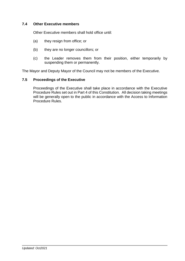## **7.4 Other Executive members**

Other Executive members shall hold office until:

- (a) they resign from office; or
- (b) they are no longer councillors; or
- (c) the Leader removes them from their position, either temporarily by suspending them or permanently.

The Mayor and Deputy Mayor of the Council may not be members of the Executive.

## **7.5 Proceedings of the Executive**

Proceedings of the Executive shall take place in accordance with the Executive Procedure Rules set out in Part 4 of this Constitution. All decision taking meetings will be generally open to the public in accordance with the Access to Information Procedure Rules.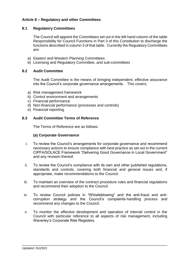# **Article 8 – Regulatory and other Committees**

## **8.1 Regulatory Committees**

The Council will appoint the Committees set out in the left hand column of the table Responsibility for Council Functions in Part 3 of this Constitution to discharge the functions described in column 3 of that table. Currently the Regulatory Committees are:

- a) Eastern and Western Planning Committees
- b) Licensing and Regulatory Committee, and sub-committees

## **8.2 Audit Committee**

The Audit Committee is the means of bringing independent, effective assurance into the Council's corporate governance arrangements. This covers;

- a) Risk management framework
- b) Control environment and arrangements
- c) Financial performance
- d) Non-financial performance (processes and controls)
- e) Financial reporting.

## **8.3 Audit Committee Terms of Reference**

The Terms of Reference are as follows:

## **(a) Corporate Governance**

- i. To review the Council's arrangements for corporate governance and recommend necessary actions to ensure compliance with best practice as set out in the current CIPFA/SOLACE Framework "Delivering Good Governance in Local Government" and any revision thereof.
- ii. To review the Council's compliance with its own and other published regulations, standards and controls, covering both financial and general issues and, if appropriate, make recommendations to the Council.
- iii. To maintain an overview of the contract procedure rules and financial regulations and recommend their adoption to the Council.
- iv. To review Council policies in "Whistleblowing" and the anti-fraud and anticorruption strategy and the Council's complaints-handling process and recommend any changes to the Council.
- v. To monitor the effective development and operation of internal control in the Council with particular reference to all aspects of risk management, including Waverley's Corporate Risk Registers.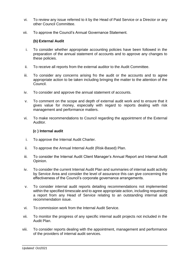- vi. To review any issue referred to it by the Head of Paid Service or a Director or any other Council Committee.
- vii. To approve the Council's Annual Governance Statement.

## **(b) External Audit**

- i. To consider whether appropriate accounting policies have been followed in the preparation of the annual statement of accounts and to approve any changes to these policies.
- ii. To receive all reports from the external auditor to the Audit Committee.
- iii. To consider any concerns arising fro the audit or the accounts and to agree appropriate action to be taken including bringing the matter to the attention of the Council.
- iv. To consider and approve the annual statement of accounts.
- v. To comment on the scope and depth of external audit work and to ensure that it gives value for money, especially with regard to reports dealing with risk management and performance matters.
- vi. To make recommendations to Council regarding the appointment of the External Auditor.

## **(c ) Internal audit**

- i. To approve the Internal Audit Charter.
- ii. To approve the Annual Internal Audit (Risk-Based) Plan.
- iii. To consider the Internal Audit Client Manager's Annual Report and Internal Audit Opinion.
- iv. To consider the current Internal Audit Plan and summaries of internal audit activity by Service Area and consider the level of assurance this can give concerning the effectiveness of the Council's corporate governance arrangements.
- v. To consider internal audit reports detailing recommendations not implemented within the specified timescale and to agree appropriate action, including requesting a report from any Head of Service relating to an outstanding internal audit recommendation issue.
- vi. To commission work from the Internal Audit Service.
- vii. To monitor the progress of any specific internal audit projects not included in the Audit Plan.
- viii. To consider reports dealing with the appointment, management and performance of the providers of internal audit services.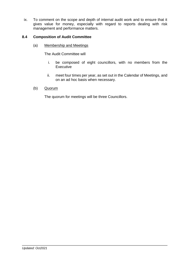ix. To comment on the scope and depth of internal audit work and to ensure that it gives value for money, especially with regard to reports dealing with risk management and performance matters.

## **8.4 Composition of Audit Committee**

(a) Membership and Meetings

The Audit Committee will

- i. be composed of eight councillors, with no members from the **Executive**
- ii. meet four times per year, as set out in the Calendar of Meetings, and on an ad hoc basis when necessary.
- (b) Quorum

The quorum for meetings will be three Councillors.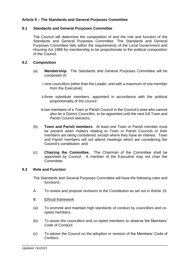# **Article 9 – The Standards and General Purposes Committee**

## **9.1 Standards and General Purposes Committee**

The Council will determine the composition of and the role and function of the Standards and General Purposes Committee. The Standards and General Purposes Committee falls within the requirements of the Local Government and Housing Act 1989 for membership to be proportionate to the political composition of the Council.

## **9.2 Composition**

- (a) **Membership.** The Standards and General Purposes Committee will be composed of:
	- i.nine councillors [other than the Leader, and with a maximum of one member from the Executive].
	- ii.three substitute members, appointed in accordance with the political proportionality of the council.
	- iii.two members of a Town or Parish Council in the Council's area who cannot also be a District Councillor, to be appointed until the next full Town and Parish Council elections.
- (b) **Town and Parish members**. At least one Town or Parish member must be present when matters relating to Town or Parish Councils or their members are being considered, except where they have an interest. Town and Parish members will not attend meetings which are considering the Council's constitution; and
- (c) **Chairing the Committee.** The Chairman of the Committee shall be appointed by Council. A member of the Executive may not chair the Committee.

#### **9.3 Role and Function**

The Standards and General Purposes Committee will have the following roles and functions:

- A. To review and propose revisions to the Constitution as set out in Article 15.
- B. Ethical framework
- (a) To promote and maintain high standards of conduct by councillors and coopted members.
- (b) To assist the councillors and co-opted members to observe the Members' Code of Conduct.
- (c) To advise the Council on the adoption or revision of the Members' Code of Conduct.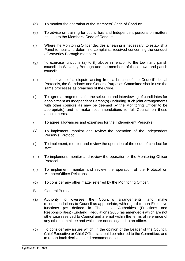- (d) To monitor the operation of the Members' Code of Conduct.
- (e) To advise on training for councillors and Independent persons on matters relating to the Members' Code of Conduct.
- (f) Where the Monitoring Officer decides a hearing is necessary, to establish a Panel to hear and determine complaints received concerning the conduct of Waverley Borough members.
- (g) To exercise functions (a) to (f) above in relation to the town and parish councils in Waverley Borough and the members of those town and parish councils.
- (h) In the event of a dispute arising from a breach of the Council's Local Protocols, the Standards and General Purposes Committee should use the same processes as breaches of the Code.
- (i) To agree arrangements for the selection and interviewing of candidates for appointment as Independent Person(s) (including such joint arrangements with other councils as may be deemed by the Monitoring Officer to be appropriate) and to make recommendations to full Council on these appointments.
- (j) To agree allowances and expenses for the Independent Person(s).
- (k) To implement, monitor and review the operation of the Independent Person(s) Protocol.
- (l) To implement, monitor and review the operation of the code of conduct for staff.
- (m) To implement, monitor and review the operation of the Monitoring Officer Protocol.
- (n) To implement, monitor and review the operation of the Protocol on Member/Officer Relations.
- (o) To consider any other matter referred by the Monitoring Officer.
- B. General Purposes
- (a) Authority to oversee the Council's arrangements, and make recommendations to Council as appropriate, with regard to non-Executive functions (as defined in The Local Authorities (Functions and Responsibilities) (England) Regulations 2000 (as amended)) which are not otherwise reserved to Council and are not within the terms of reference of any other committee and which are not delegated to an officer.
- (b) To consider any issues which, in the opinion of the Leader of the Council, Chief Executive or Chief Officers, should be referred to the Committee, and to report back decisions and recommendations.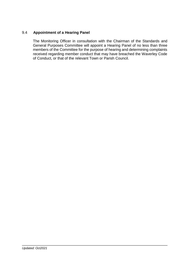# 9.4 **Appointment of a Hearing Panel**

The Monitoring Officer in consultation with the Chairman of the Standards and General Purposes Committee will appoint a Hearing Panel of no less than three members of the Committee for the purpose of hearing and determining complaints received regarding member conduct that may have breached the Waverley Code of Conduct, or that of the relevant Town or Parish Council.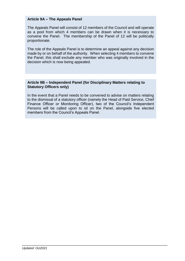#### **Article 9A – The Appeals Panel**

The Appeals Panel will consist of 12 members of the Council and will operate as a pool from which 4 members can be drawn when it is necessary to convene the Panel. The membership of the Panel of 12 will be politically proportionate.

The role of the Appeals Panel is to determine an appeal against any decision made by or on behalf of the authority. When selecting 4 members to convene the Panel, this shall exclude any member who was originally involved in the decision which is now being appealed.

#### **Article 9B – Independent Panel (for Disciplinary Matters relating to Statutory Officers only)**

In the event that a Panel needs to be convened to advise on matters relating to the dismissal of a statutory officer (namely the Head of Paid Service, Chief Finance Officer or Monitoring Officer), two of the Council's Independent Persons will be called upon to sit on the Panel, alongside five elected members from the Council's Appeals Panel.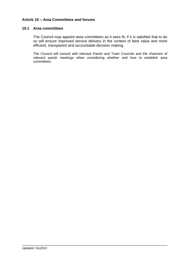# **Article 10 – Area Committees and forums**

#### **10.1 Area committees**

The Council may appoint area committees as it sees fit, if it is satisfied that to do so will ensure improved service delivery in the context of best value and more efficient, transparent and accountable decision making.

The Council will consult with relevant Parish and Town Councils and the chairmen of relevant parish meetings when considering whether and how to establish area committees.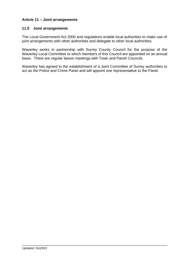# **Article 11 – Joint arrangements**

## **11.0 Joint arrangements**

The Local Government Act 2000 and regulations enable local authorities to make use of joint arrangements with other authorities and delegate to other local authorities.

Waverley works in partnership with Surrey County Council for the purpose of the Waverley Local Committee to which members of this Council are appointed on an annual basis. There are regular liaison meetings with Town and Parish Councils.

Waverley has agreed to the establishment of a Joint Committee of Surrey authorities to act as the Police and Crime Panel and will appoint one representative to the Panel.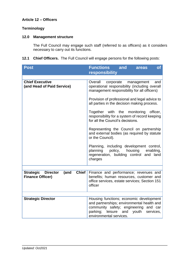## **Article 12 – Officers**

# **Terminology**

## **12.0 Management structure**

The Full Council may engage such staff (referred to as officers) as it considers necessary to carry out its functions.

# **12.1 Chief Officers.** The Full Council will engage persons for the following posts:

| <b>Post</b>                                                                         | <b>Functions</b> and<br>$\overline{\textbf{of}}$<br>areas                                                                                                                                               |  |
|-------------------------------------------------------------------------------------|---------------------------------------------------------------------------------------------------------------------------------------------------------------------------------------------------------|--|
|                                                                                     | responsibility                                                                                                                                                                                          |  |
| <b>Chief Executive</b><br>(and Head of Paid Service)                                | Overall<br>corporate<br>management<br>and<br>operational responsibility (including overall<br>management responsibility for all officers)                                                               |  |
|                                                                                     | Provision of professional and legal advice to<br>all parties in the decision making process.                                                                                                            |  |
|                                                                                     | Together with the monitoring officer,<br>responsibility for a system of record keeping<br>for all the Council's decisions.                                                                              |  |
|                                                                                     | Representing the Council on partnership<br>and external bodies (as required by statute<br>or the Council).                                                                                              |  |
|                                                                                     | Planning, including development control,<br>planning policy, housing enabling,<br>regeneration, building control and land<br>charges                                                                    |  |
|                                                                                     |                                                                                                                                                                                                         |  |
| Chief $ $<br>(and<br><b>Strategic</b><br><b>Director</b><br><b>Finance Officer)</b> | Finance and performance; revenues and<br>benefits; human resources, customer and<br>office services, estate services; Section 151<br>officer                                                            |  |
|                                                                                     |                                                                                                                                                                                                         |  |
| <b>Strategic Director</b>                                                           | Housing functions; economic development<br>and partnerships; environmental health and<br>community safety; engineering and car<br>parking;<br>leisure and youth<br>services,<br>environmental services. |  |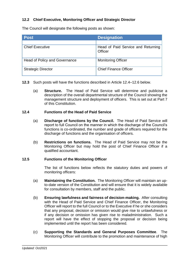# **12.2 Chief Executive, Monitoring Officer and Strategic Director**

The Council will designate the following posts as shown:

| <b>Post</b>                          | <b>Designation</b>                                   |
|--------------------------------------|------------------------------------------------------|
|                                      |                                                      |
| <b>Chief Executive</b>               | Head of Paid Service and Returning<br><b>Officer</b> |
| <b>Head of Policy and Governance</b> | <b>Monitoring Officer</b>                            |
| <b>Strategic Director</b>            | <b>Chief Finance Officer</b>                         |

- **12.3** Such posts will have the functions described in Article 12.4–12.6 below.
	- (a) **Structure.** The Head of Paid Service will determine and publicise a description of the overall departmental structure of the Council showing the management structure and deployment of officers. This is set out at Part 7 of this Constitution.

#### **12.4 Functions of the Head of Paid Service**

- (a) **Discharge of functions by the Council.** The Head of Paid Service will report to full Council on the manner in which the discharge of the Council's functions is co-ordinated, the number and grade of officers required for the discharge of functions and the organisation of officers.
- (b) **Restrictions on functions.** The Head of Paid Service may not be the Monitoring Officer but may hold the post of Chief Finance Officer if a qualified accountant.

#### **12.5 Functions of the Monitoring Officer**

The list of functions below reflects the statutory duties and powers of monitoring officers:

- (a) **Maintaining the Constitution.** The Monitoring Officer will maintain an upto-date version of the Constitution and will ensure that it is widely available for consultation by members, staff and the public.
- (b) **Ensuring lawfulness and fairness of decision-making.** After consulting with the Head of Paid Service and Chief Finance Officer, the Monitoring Officer will report to the full Council or to the Executive if he or she considers that any proposal, decision or omission would give rise to unlawfulness or if any decision or omission has given rise to maladministration. Such a report will have the effect of stopping the proposal or decision being implemented until the report has been considered.
- (c) **Supporting the Standards and General Purposes Committee**.The Monitoring Officer will contribute to the promotion and maintenance of high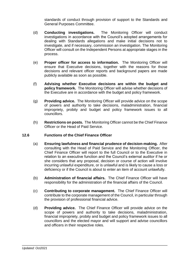standards of conduct through provision of support to the Standards and General Purposes Committee.

- (d) **Conducting investigations.** The Monitoring Officer will conduct investigations in accordance with the Council's adopted arrangements for dealing with Standards allegations and make initial decisions not to investigate, and if necessary, commission an investigation. The Monitoring Officer will consult on the Independent Persons at appropriate stages in the process.
- (e) **Proper officer for access to information.** The Monitoring Officer will ensure that Executive decisions, together with the reasons for those decisions and relevant officer reports and background papers are made publicly available as soon as possible.
- (f) **Advising whether Executive decisions are within the budget and policy framework.** The Monitoring Officer will advise whether decisions of the Executive are in accordance with the budget and policy framework.
- (g) **Providing advice.** The Monitoring Officer will provide advice on the scope of powers and authority to take decisions, maladministration, financial impropriety, probity and budget and policy framework issues to all councillors.
- (h) **Restrictions on posts.** The Monitoring Officer cannot be the Chief Finance Officer or the Head of Paid Service.

## **12.6 Functions of the Chief Finance Officer**

- (a) **Ensuring lawfulness and financial prudence of decision-making.** After consulting with the Head of Paid Service and the Monitoring Officer, the Chief Finance Officer will report to the full Council or to the Executive in relation to an executive function and the Council's external auditor if he or she considers that any proposal, decision or course of action will involve incurring unlawful expenditure, or is unlawful and is likely to cause a loss or deficiency or if the Council is about to enter an item of account unlawfully.
- (b) **Administration of financial affairs.** The Chief Finance Officer will have responsibility for the administration of the financial affairs of the Council.
- (c) **Contributing to corporate management.** The Chief Finance Officer will contribute to the corporate management of the Council, in particular through the provision of professional financial advice.
- (d) **Providing advice.** The Chief Finance Officer will provide advice on the scope of powers and authority to take decisions, maladministration, financial impropriety, probity and budget and policy framework issues to all councillors and the elected mayor and will support and advise councillors and officers in their respective roles.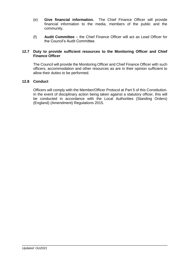- (e) **Give financial information.** The Chief Finance Officer will provide financial information to the media, members of the public and the community.
- (f) **Audit Committee** the Chief Finance Officer will act as Lead Officer for the Council's Audit Committee.

## **12.7 Duty to provide sufficient resources to the Monitoring Officer and Chief Finance Officer**

The Council will provide the Monitoring Officer and Chief Finance Officer with such officers, accommodation and other resources as are in their opinion sufficient to allow their duties to be performed.

## **12.8 Conduct**

Officers will comply with the Member/Officer Protocol at Part 5 of this Constitution. In the event of disciplinary action being taken against a statutory officer, this will be conducted in accordance with the Local Authorities (Standing Orders) (England) (Amendment) Regulations 2015.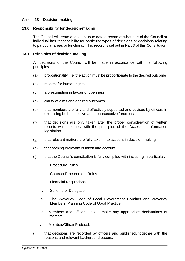# **Article 13 – Decision making**

## **13.0 Responsibility for decision-making**

The Council will issue and keep up to date a record of what part of the Council or individual has responsibility for particular types of decisions or decisions relating to particular areas or functions. This record is set out in Part 3 of this Constitution.

## **13.1 Principles of decision-making**

All decisions of the Council will be made in accordance with the following principles:

- (a) proportionality (i.e. the action must be proportionate to the desired outcome)
- (b) respect for human rights
- (c) a presumption in favour of openness
- (d) clarity of aims and desired outcomes
- (e) that members are fully and effectively supported and advised by officers in exercising both executive and non-executive functions
- (f) that decisions are only taken after the proper consideration of written reports which comply with the principles of the Access to Information legislation
- (g) that relevant matters are fully taken into account in decision-making
- (h) that nothing irrelevant is taken into account
- (i) that the Council's constitution is fully complied with including in particular:
	- i. Procedure Rules
	- ii. Contract Procurement Rules
	- iii. Financial Regulations
	- iv. Scheme of Delegation
	- v. The Waverley Code of Local Government Conduct and Waverley Members' Planning Code of Good Practice
	- vi. Members and officers should make any appropriate declarations of interests
	- vii. Member/Officer Protocol.
- (j) that decisions are recorded by officers and published, together with the reasons and relevant background papers.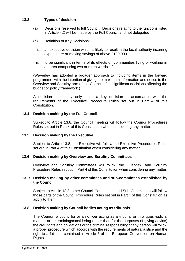# **13.2 Types of decision**

- (a) Decisions reserved to full Council. Decisions relating to the functions listed in Article 4.2 will be made by the Full Council and not delegated.
- (b) Definition of Key Decisions:
	- i. an executive decision which is likely to result in the local authority incurring expenditure or making savings of above £100,000.
	- ii. to be significant in terms of its effects on communities living or working in an area comprising two or more wards…".

(Waverley has adopted a broader approach to including items in the forward programme, with the intention of giving the maximum information and notice to the Overview and Scrutiny arm of the Council of all significant decisions affecting the budget or policy framework.)

A decision taker may only make a key decision in accordance with the requirements of the Executive Procedure Rules set out in Part 4 of this Constitution.

## **13.4 Decision making by the Full Council**

Subject to Article 13.8, the Council meeting will follow the Council Procedures Rules set out in Part 4 of this Constitution when considering any matter.

#### **13.5 Decision making by the Executive**

Subject to Article 13.8, the Executive will follow the Executive Procedures Rules set out in Part 4 of this Constitution when considering any matter.

#### **13.6 Decision making by Overview and Scrutiny Committees**

Overview and Scrutiny Committees will follow the Overview and Scrutiny Procedure Rules set out in Part 4 of this Constitution when considering any matter.

#### **13. 7 Decision making by other committees and sub-committees established by the Council**

Subject to Article 13.8, other Council Committees and Sub-Committees will follow those parts of the Council Procedure Rules set out in Part 4 of this Constitution as apply to them.

#### **13.8 Decision making by Council bodies acting as tribunals**

The Council, a councillor or an officer acting as a tribunal or in a quasi-judicial manner or determining/considering (other than for the purposes of giving advice) the civil rights and obligations or the criminal responsibility of any person will follow a proper procedure which accords with the requirements of natural justice and the right to a fair trial contained in Article 6 of the European Convention on Human Rights.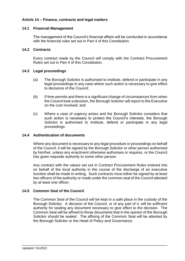# **Article 14 – Finance, contracts and legal matters**

## **14.1 Financial Management**

The management of the Council's financial affairs will be conducted in accordance with the financial rules set out in Part 4 of this Constitution

## **14.2 Contracts**

Every contract made by the Council will comply with the Contract Procurement Rules set out in Part 4 of this Constitution.

#### **14.3 Legal proceedings**

- (a) The Borough Solicitor is authorised to institute, defend or participate in any legal proceedings in any case where such action is necessary to give effect to decisions of the Council;
- (b) If time permits and there is a significant change of circumstances from when the Council took a decision, the Borough Solicitor will report to the Executive on the cost involved; and
- (c) Where a case of urgency arises and the Borough Solicitor considers that such action is necessary to protect the Council's interests, the Borough Solicitor is authorised to institute, defend or participate in any legal proceedings.

#### **14.4 Authentication of documents**

Where any document is necessary to any legal procedure or proceedings on behalf of the Council, it will be signed by the Borough Solicitor or other person authorised by him/her, unless any enactment otherwise authorises or requires, or the Council has given requisite authority to some other person.

Any contract with the values set out in Contract Procurement Rules entered into on behalf of the local authority in the course of the discharge of an executive function shall be made in writing. Such contracts must either be signed by at least two officers of the authority or made under the common seal of the Council attested by at least one officer.

## **14.5 Common Seal of the Council**

The Common Seal of the Council will be kept in a safe place in the custody of the Borough Solicitor. A decision of the Council, or of any part of it, will be sufficient authority for sealing any document necessary to give effect to the decision. The Common Seal will be affixed to those documents that in the opinion of the Borough Solicitor should be sealed. The affixing of the Common Seal will be attested by the Borough Solicitor or the Head of Policy and Governance.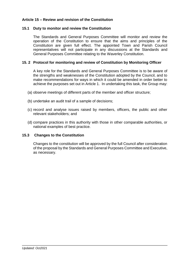# **Article 15 – Review and revision of the Constitution**

## **15.1 Duty to monitor and review the Constitution**

The Standards and General Purposes Committee will monitor and review the operation of the Constitution to ensure that the aims and principles of the Constitution are given full effect. The appointed Town and Parish Council representatives will not participate in any discussions at the Standards and General Purposes Committee relating to the Waverley Constitution.

## **15. 2 Protocol for monitoring and review of Constitution by Monitoring Officer**

A key role for the Standards and General Purposes Committee is to be aware of the strengths and weaknesses of the Constitution adopted by the Council, and to make recommendations for ways in which it could be amended in order better to achieve the purposes set out in Article 1. In undertaking this task, the Group may:

- (a) observe meetings of different parts of the member and officer structure;
- (b) undertake an audit trail of a sample of decisions;
- (c) record and analyse issues raised by members, officers, the public and other relevant stakeholders; and
- (d) compare practices in this authority with those in other comparable authorities, or national examples of best practice.

#### **15.3 Changes to the Constitution**

Changes to the constitution will be approved by the full Council after consideration of the proposal by the Standards and General Purposes Committee and Executive, as necessary.